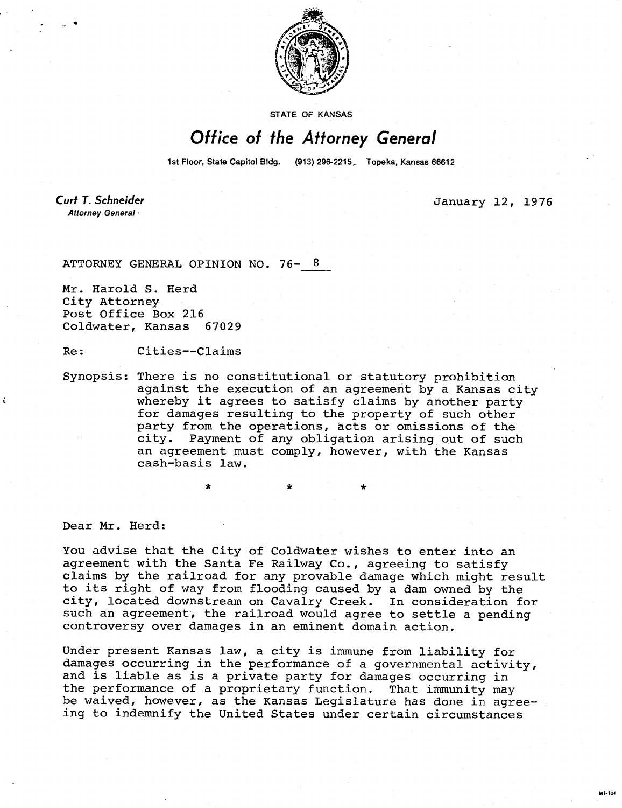

STATE OF KANSAS

## Office of the Attorney General

1st Floor, State Capitol Bldg. (913) 296-2215. Topeka, Kansas 66612

**Curt T. Schneider** Attorney General

January 12, 1976

M1-104

ATTORNEY GENERAL OPINION NO. 76-

Mr. Harold S. Herd City Attorney Post Office Box 216 Coldwater, Kansas 67029

Re: Cities--Claims

Synopsis: There is no constitutional or statutory prohibition against the execution of an agreement by a Kansas city whereby it agrees to satisfy claims by another party for damages resulting to the property of such other party from the operations, acts or omissions of the city. Payment of any obligation arising out of such an agreement must comply, however, with the Kansas cash-basis law.

Dear Mr. Herd:

ŧ

You advise that the City of Coldwater wishes to enter into an agreement with the Santa Fe Railway Co., agreeing to satisfy claims by the railroad for any provable damage which might result to its right of way from flooding caused by a dam owned by the city, located downstream on Cavalry Creek. In consideration for such an agreement, the railroad would agree to settle a pending controversy over damages in an eminent domain action.

Under present Kansas law, a city is immune from liability for damages occurring in the performance of a governmental activity, and is liable as is a private party for damages occurring in the performance of a proprietary function. That immunity may be waived, however, as the Kansas Legislature has done in agreeing to indemnify the United States under certain circumstances